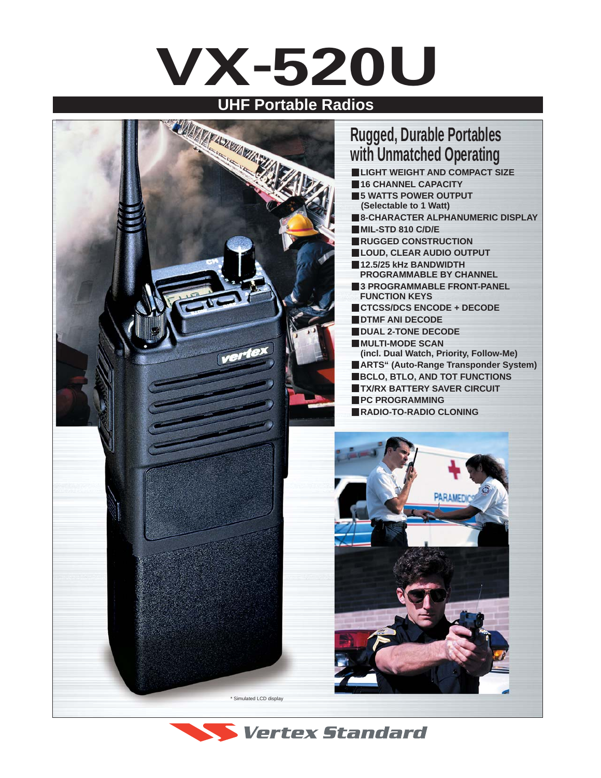# **VX-520U**



## **Rugged, Durable Portables with Unmatched Operating**

 **LIGHT WEIGHT AND COMPACT SIZE 16 CHANNEL CAPACITY 5 WATTS POWER OUTPUT (Selectable to 1 Watt) 8-CHARACTER ALPHANUMERIC DISPLAY MIL-STD 810 C/D/E RUGGED CONSTRUCTION LOUD, CLEAR AUDIO OUTPUT 12.5/25 kHz BANDWIDTH PROGRAMMABLE BY CHANNEL 3 PROGRAMMABLE FRONT-PANEL FUNCTION KEYS CTCSS/DCS ENCODE + DECODE DTMF ANI DECODE DUAL 2-TONE DECODE MULTI-MODE SCAN (incl. Dual Watch, Priority, Follow-Me) ARTS" (Auto-Range Transponder System) BCLO, BTLO, AND TOT FUNCTIONS TX/RX BATTERY SAVER CIRCUIT PC PROGRAMMING RADIO-TO-RADIO CLONING**